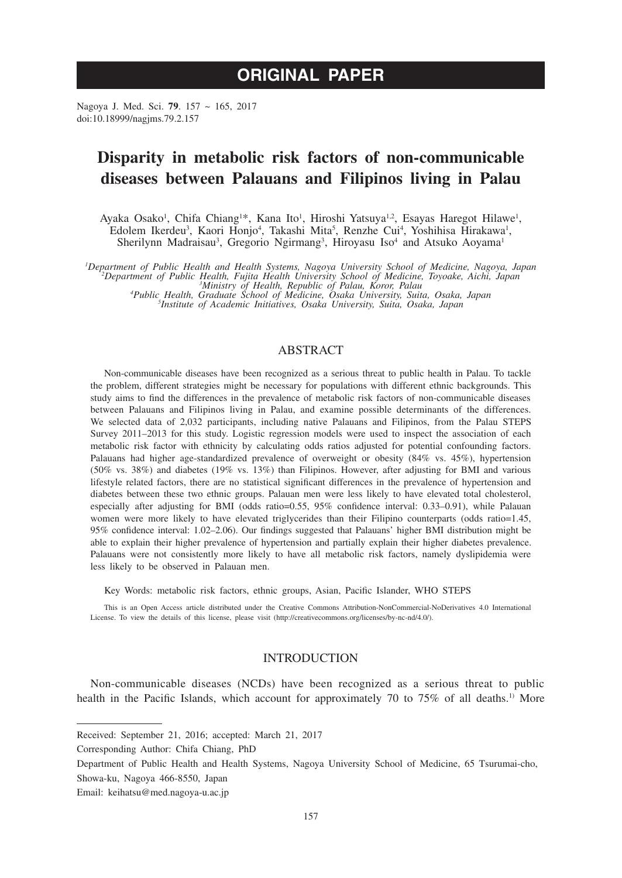# **ORIGINAL PAPER**

Nagoya J. Med. Sci. **79**. 157 ~ 165, 2017 doi:10.18999/nagjms.79.2.157

# **Disparity in metabolic risk factors of non-communicable diseases between Palauans and Filipinos living in Palau**

Ayaka Osako<sup>1</sup>, Chifa Chiang<sup>1\*</sup>, Kana Ito<sup>1</sup>, Hiroshi Yatsuya<sup>1,2</sup>, Esayas Haregot Hilawe<sup>1</sup>, Edolem Ikerdeu<sup>3</sup>, Kaori Honjo<sup>4</sup>, Takashi Mita<sup>5</sup>, Renzhe Cui<sup>4</sup>, Yoshihisa Hirakawa<sup>1</sup>, Sherilynn Madraisau<sup>3</sup>, Gregorio Ngirmang<sup>3</sup>, Hiroyasu Iso<sup>4</sup> and Atsuko Aoyama<sup>1</sup>

Department of Public Health and Health Systems, Nagoya University School of Medicine, Nagoya, Japan<sup>2</sup><br><sup>2</sup>Department of Public Health, Fujita Health University School of Medicine, Toyoake, Aichi, Japan<sup>3</sup><br><sup>3</sup>Ministry of He

*Institute of Academic Initiatives, Osaka University, Suita, Osaka, Japan*

## ABSTRACT

Non-communicable diseases have been recognized as a serious threat to public health in Palau. To tackle the problem, different strategies might be necessary for populations with different ethnic backgrounds. This study aims to find the differences in the prevalence of metabolic risk factors of non-communicable diseases between Palauans and Filipinos living in Palau, and examine possible determinants of the differences. We selected data of 2,032 participants, including native Palauans and Filipinos, from the Palau STEPS Survey 2011–2013 for this study. Logistic regression models were used to inspect the association of each metabolic risk factor with ethnicity by calculating odds ratios adjusted for potential confounding factors. Palauans had higher age-standardized prevalence of overweight or obesity (84% vs. 45%), hypertension (50% vs. 38%) and diabetes (19% vs. 13%) than Filipinos. However, after adjusting for BMI and various lifestyle related factors, there are no statistical significant differences in the prevalence of hypertension and diabetes between these two ethnic groups. Palauan men were less likely to have elevated total cholesterol, especially after adjusting for BMI (odds ratio=0.55, 95% confidence interval: 0.33–0.91), while Palauan women were more likely to have elevated triglycerides than their Filipino counterparts (odds ratio=1.45, 95% confidence interval: 1.02–2.06). Our findings suggested that Palauans' higher BMI distribution might be able to explain their higher prevalence of hypertension and partially explain their higher diabetes prevalence. Palauans were not consistently more likely to have all metabolic risk factors, namely dyslipidemia were less likely to be observed in Palauan men.

Key Words: metabolic risk factors, ethnic groups, Asian, Pacific Islander, WHO STEPS

This is an Open Access article distributed under the Creative Commons Attribution-NonCommercial-NoDerivatives 4.0 International License. To view the details of this license, please visit (http://creativecommons.org/licenses/by-nc-nd/4.0/).

## INTRODUCTION

Non-communicable diseases (NCDs) have been recognized as a serious threat to public health in the Pacific Islands, which account for approximately 70 to  $75\%$  of all deaths.<sup>1)</sup> More

Received: September 21, 2016; accepted: March 21, 2017

Corresponding Author: Chifa Chiang, PhD

Department of Public Health and Health Systems, Nagoya University School of Medicine, 65 Tsurumai-cho, Showa-ku, Nagoya 466-8550, Japan

Email: keihatsu@med.nagoya-u.ac.jp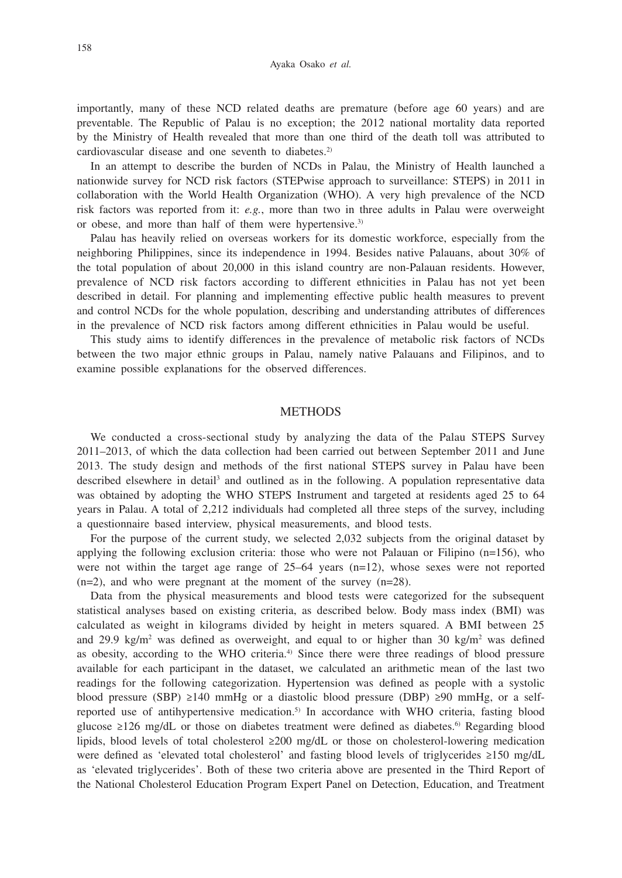importantly, many of these NCD related deaths are premature (before age 60 years) and are preventable. The Republic of Palau is no exception; the 2012 national mortality data reported by the Ministry of Health revealed that more than one third of the death toll was attributed to cardiovascular disease and one seventh to diabetes.<sup>2)</sup>

In an attempt to describe the burden of NCDs in Palau, the Ministry of Health launched a nationwide survey for NCD risk factors (STEPwise approach to surveillance: STEPS) in 2011 in collaboration with the World Health Organization (WHO). A very high prevalence of the NCD risk factors was reported from it: *e.g.*, more than two in three adults in Palau were overweight or obese, and more than half of them were hypertensive.<sup>3)</sup>

Palau has heavily relied on overseas workers for its domestic workforce, especially from the neighboring Philippines, since its independence in 1994. Besides native Palauans, about 30% of the total population of about 20,000 in this island country are non-Palauan residents. However, prevalence of NCD risk factors according to different ethnicities in Palau has not yet been described in detail. For planning and implementing effective public health measures to prevent and control NCDs for the whole population, describing and understanding attributes of differences in the prevalence of NCD risk factors among different ethnicities in Palau would be useful.

This study aims to identify differences in the prevalence of metabolic risk factors of NCDs between the two major ethnic groups in Palau, namely native Palauans and Filipinos, and to examine possible explanations for the observed differences.

### **METHODS**

We conducted a cross-sectional study by analyzing the data of the Palau STEPS Survey 2011–2013, of which the data collection had been carried out between September 2011 and June 2013. The study design and methods of the first national STEPS survey in Palau have been described elsewhere in detail<sup>3</sup> and outlined as in the following. A population representative data was obtained by adopting the WHO STEPS Instrument and targeted at residents aged 25 to 64 years in Palau. A total of 2,212 individuals had completed all three steps of the survey, including a questionnaire based interview, physical measurements, and blood tests.

For the purpose of the current study, we selected 2,032 subjects from the original dataset by applying the following exclusion criteria: those who were not Palauan or Filipino (n=156), who were not within the target age range of  $25-64$  years (n=12), whose sexes were not reported  $(n=2)$ , and who were pregnant at the moment of the survey  $(n=28)$ .

Data from the physical measurements and blood tests were categorized for the subsequent statistical analyses based on existing criteria, as described below. Body mass index (BMI) was calculated as weight in kilograms divided by height in meters squared. A BMI between 25 and 29.9 kg/m<sup>2</sup> was defined as overweight, and equal to or higher than 30 kg/m<sup>2</sup> was defined as obesity, according to the WHO criteria.<sup>4)</sup> Since there were three readings of blood pressure available for each participant in the dataset, we calculated an arithmetic mean of the last two readings for the following categorization. Hypertension was defined as people with a systolic blood pressure (SBP) ≥140 mmHg or a diastolic blood pressure (DBP) ≥90 mmHg, or a selfreported use of antihypertensive medication.<sup>5)</sup> In accordance with WHO criteria, fasting blood glucose ≥126 mg/dL or those on diabetes treatment were defined as diabetes.<sup>6)</sup> Regarding blood lipids, blood levels of total cholesterol ≥200 mg/dL or those on cholesterol-lowering medication were defined as 'elevated total cholesterol' and fasting blood levels of triglycerides ≥150 mg/dL as 'elevated triglycerides'. Both of these two criteria above are presented in the Third Report of the National Cholesterol Education Program Expert Panel on Detection, Education, and Treatment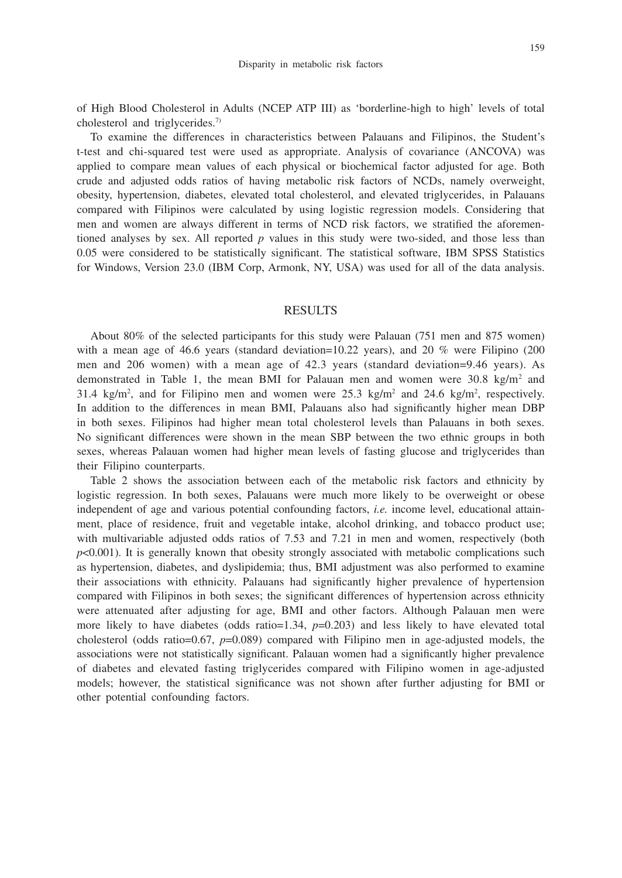of High Blood Cholesterol in Adults (NCEP ATP III) as 'borderline-high to high' levels of total cholesterol and triglycerides.7)

To examine the differences in characteristics between Palauans and Filipinos, the Student's t-test and chi-squared test were used as appropriate. Analysis of covariance (ANCOVA) was applied to compare mean values of each physical or biochemical factor adjusted for age. Both crude and adjusted odds ratios of having metabolic risk factors of NCDs, namely overweight, obesity, hypertension, diabetes, elevated total cholesterol, and elevated triglycerides, in Palauans compared with Filipinos were calculated by using logistic regression models. Considering that men and women are always different in terms of NCD risk factors, we stratified the aforementioned analyses by sex. All reported *p* values in this study were two-sided, and those less than 0.05 were considered to be statistically significant. The statistical software, IBM SPSS Statistics for Windows, Version 23.0 (IBM Corp, Armonk, NY, USA) was used for all of the data analysis.

## RESULTS

About 80% of the selected participants for this study were Palauan (751 men and 875 women) with a mean age of 46.6 years (standard deviation=10.22 years), and 20 % were Filipino (200) men and 206 women) with a mean age of 42.3 years (standard deviation=9.46 years). As demonstrated in Table 1, the mean BMI for Palauan men and women were  $30.8 \text{ kg/m}^2$  and 31.4 kg/m<sup>2</sup>, and for Filipino men and women were  $25.3$  kg/m<sup>2</sup> and  $24.6$  kg/m<sup>2</sup>, respectively. In addition to the differences in mean BMI, Palauans also had significantly higher mean DBP in both sexes. Filipinos had higher mean total cholesterol levels than Palauans in both sexes. No significant differences were shown in the mean SBP between the two ethnic groups in both sexes, whereas Palauan women had higher mean levels of fasting glucose and triglycerides than their Filipino counterparts.

Table 2 shows the association between each of the metabolic risk factors and ethnicity by logistic regression. In both sexes, Palauans were much more likely to be overweight or obese independent of age and various potential confounding factors, *i.e.* income level, educational attainment, place of residence, fruit and vegetable intake, alcohol drinking, and tobacco product use; with multivariable adjusted odds ratios of 7.53 and 7.21 in men and women, respectively (both *p*<0.001). It is generally known that obesity strongly associated with metabolic complications such as hypertension, diabetes, and dyslipidemia; thus, BMI adjustment was also performed to examine their associations with ethnicity. Palauans had significantly higher prevalence of hypertension compared with Filipinos in both sexes; the significant differences of hypertension across ethnicity were attenuated after adjusting for age, BMI and other factors. Although Palauan men were more likely to have diabetes (odds ratio=1.34,  $p=0.203$ ) and less likely to have elevated total cholesterol (odds ratio=0.67, *p*=0.089) compared with Filipino men in age-adjusted models, the associations were not statistically significant. Palauan women had a significantly higher prevalence of diabetes and elevated fasting triglycerides compared with Filipino women in age-adjusted models; however, the statistical significance was not shown after further adjusting for BMI or other potential confounding factors.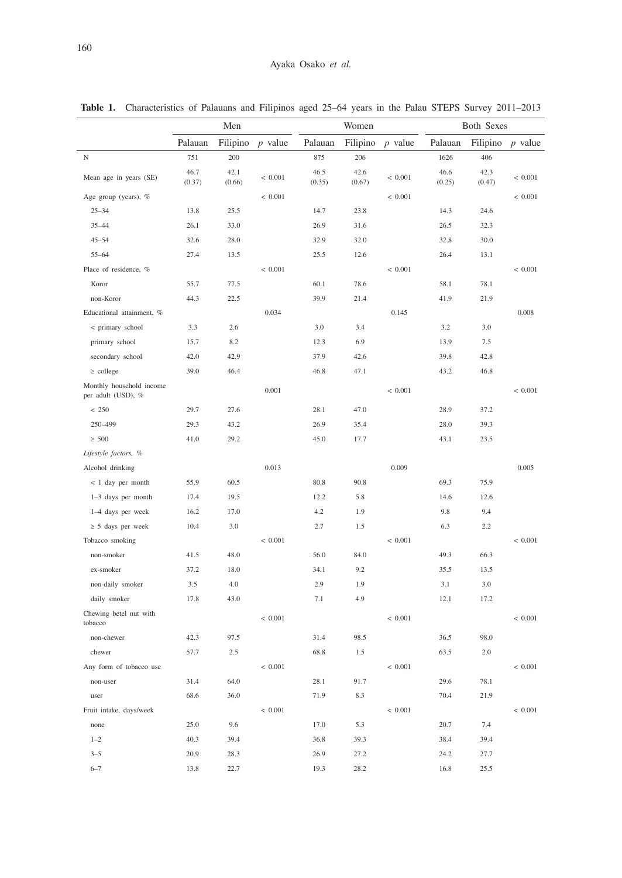|                                                | Men            |                |             | Women          |                |             | Both Sexes     |                |             |
|------------------------------------------------|----------------|----------------|-------------|----------------|----------------|-------------|----------------|----------------|-------------|
|                                                | Palauan        | Filipino       | $p$ value   | Palauan        | Filipino       | $p$ value   | Palauan        | Filipino       | $p$ value   |
| N                                              | 751            | 200            |             | 875            | 206            |             | 1626           | 406            |             |
| Mean age in years (SE)                         | 46.7<br>(0.37) | 42.1<br>(0.66) | < 0.001     | 46.5<br>(0.35) | 42.6<br>(0.67) | < 0.001     | 46.6<br>(0.25) | 42.3<br>(0.47) | < 0.001     |
| Age group (years), %                           |                |                | < 0.001     |                |                | < 0.001     |                |                | < 0.001     |
| $25 - 34$                                      | 13.8           | 25.5           |             | 14.7           | 23.8           |             | 14.3           | 24.6           |             |
| $35 - 44$                                      | 26.1           | 33.0           |             | 26.9           | 31.6           |             | 26.5           | 32.3           |             |
| $45 - 54$                                      | 32.6           | 28.0           |             | 32.9           | 32.0           |             | 32.8           | 30.0           |             |
| $55 - 64$                                      | 27.4           | 13.5           |             | 25.5           | 12.6           |             | 26.4           | 13.1           |             |
| Place of residence, %                          |                |                | < 0.001     |                |                | < 0.001     |                |                | < 0.001     |
| Koror                                          | 55.7           | 77.5           |             | 60.1           | 78.6           |             | 58.1           | 78.1           |             |
| non-Koror                                      | 44.3           | 22.5           |             | 39.9           | 21.4           |             | 41.9           | 21.9           |             |
| Educational attainment, %                      |                |                | 0.034       |                |                | 0.145       |                |                | 0.008       |
| < primary school                               | 3.3            | 2.6            |             | 3.0            | 3.4            |             | 3.2            | 3.0            |             |
| primary school                                 | 15.7           | 8.2            |             | 12.3           | 6.9            |             | 13.9           | 7.5            |             |
| secondary school                               | 42.0           | 42.9           |             | 37.9           | 42.6           |             | 39.8           | 42.8           |             |
| $\ge$ college                                  | 39.0           | 46.4           |             | 46.8           | 47.1           |             | 43.2           | 46.8           |             |
| Monthly household income<br>per adult (USD), % |                |                | 0.001       |                |                | ${}< 0.001$ |                |                | ${}< 0.001$ |
| < 250                                          | 29.7           | 27.6           |             | 28.1           | 47.0           |             | 28.9           | 37.2           |             |
| 250-499                                        | 29.3           | 43.2           |             | 26.9           | 35.4           |             | 28.0           | 39.3           |             |
| $\geq 500$                                     | 41.0           | 29.2           |             | 45.0           | 17.7           |             | 43.1           | 23.5           |             |
| Lifestyle factors, %                           |                |                |             |                |                |             |                |                |             |
| Alcohol drinking                               |                |                | 0.013       |                |                | 0.009       |                |                | 0.005       |
| $< 1$ day per month                            | 55.9           | 60.5           |             | 80.8           | 90.8           |             | 69.3           | 75.9           |             |
| 1-3 days per month                             | 17.4           | 19.5           |             | 12.2           | 5.8            |             | 14.6           | 12.6           |             |
| 1-4 days per week                              | 16.2           | 17.0           |             | 4.2            | 1.9            |             | 9.8            | 9.4            |             |
| $\geq$ 5 days per week                         | 10.4           | 3.0            |             | 2.7            | 1.5            |             | 6.3            | 2.2            |             |
| Tobacco smoking                                |                |                | < 0.001     |                |                | < 0.001     |                |                | < 0.001     |
| non-smoker                                     | 41.5           | 48.0           |             | 56.0           | 84.0           |             | 49.3           | 66.3           |             |
| ex-smoker                                      | 37.2           | 18.0           |             | 34.1           | 9.2            |             | 35.5           | 13.5           |             |
| non-daily smoker                               | 3.5            | 4.0            |             | 2.9            | 1.9            |             | 3.1            | 3.0            |             |
| daily smoker                                   | 17.8           | 43.0           |             | 7.1            | 4.9            |             | 12.1           | 17.2           |             |
| Chewing betel nut with<br>tobacco              |                |                | ${}< 0.001$ |                |                | ${}< 0.001$ |                |                | < 0.001     |
| non-chewer                                     | 42.3           | 97.5           |             | 31.4           | 98.5           |             | 36.5           | 98.0           |             |
| chewer                                         | 57.7           | 2.5            |             | 68.8           | 1.5            |             | 63.5           | 2.0            |             |
| Any form of tobacco use                        |                |                | < 0.001     |                |                | < 0.001     |                |                | $<\,0.001$  |
| non-user                                       | 31.4           | 64.0           |             | 28.1           | 91.7           |             | 29.6           | 78.1           |             |
| user                                           | 68.6           | 36.0           |             | 71.9           | 8.3            |             | 70.4           | 21.9           |             |
| Fruit intake, days/week                        |                |                | $<\,0.001$  |                |                | $<\,0.001$  |                |                | $<\,0.001$  |
| none                                           | 25.0           | 9.6            |             | 17.0           | 5.3            |             | 20.7           | 7.4            |             |
| $1 - 2$                                        | 40.3           | 39.4           |             | 36.8           | 39.3           |             | 38.4           | 39.4           |             |
| $3 - 5$                                        | 20.9           | 28.3           |             | 26.9           | 27.2           |             | 24.2           | 27.7           |             |
| $6 - 7$                                        | 13.8           | 22.7           |             | 19.3           | 28.2           |             | 16.8           | 25.5           |             |

**Table 1.** Characteristics of Palauans and Filipinos aged 25–64 years in the Palau STEPS Survey 2011–2013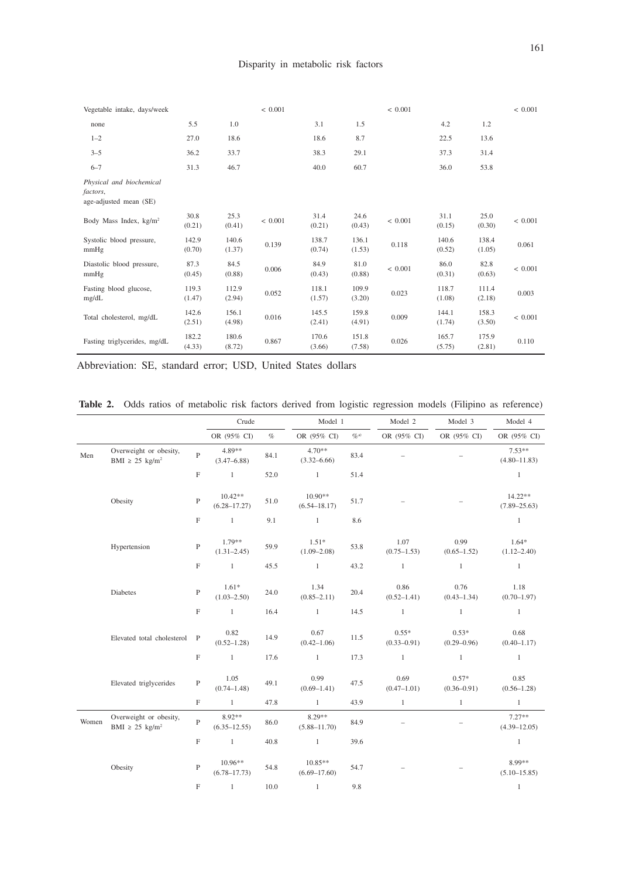| Vegetable intake, days/week                                    |                 |                 | ${}< 0.001$ |                 |                 | ${}< 0.001$ |                 |                 | ${}< 0.001$ |
|----------------------------------------------------------------|-----------------|-----------------|-------------|-----------------|-----------------|-------------|-----------------|-----------------|-------------|
| none                                                           | 5.5             | 1.0             |             | 3.1             | 1.5             |             | 4.2             | 1.2             |             |
| $1 - 2$                                                        | 27.0            | 18.6            |             | 18.6            | 8.7             |             | 22.5            | 13.6            |             |
| $3 - 5$                                                        | 36.2            | 33.7            |             | 38.3            | 29.1            |             | 37.3            | 31.4            |             |
| $6 - 7$                                                        | 31.3            | 46.7            |             | 40.0            | 60.7            |             | 36.0            | 53.8            |             |
| Physical and biochemical<br>factors,<br>age-adjusted mean (SE) |                 |                 |             |                 |                 |             |                 |                 |             |
| Body Mass Index, kg/m <sup>2</sup>                             | 30.8<br>(0.21)  | 25.3<br>(0.41)  | < 0.001     | 31.4<br>(0.21)  | 24.6<br>(0.43)  | < 0.001     | 31.1<br>(0.15)  | 25.0<br>(0.30)  | < 0.001     |
| Systolic blood pressure,<br>mmHg                               | 142.9<br>(0.70) | 140.6<br>(1.37) | 0.139       | 138.7<br>(0.74) | 136.1<br>(1.53) | 0.118       | 140.6<br>(0.52) | 138.4<br>(1.05) | 0.061       |
| Diastolic blood pressure,<br>mmHg                              | 87.3<br>(0.45)  | 84.5<br>(0.88)  | 0.006       | 84.9<br>(0.43)  | 81.0<br>(0.88)  | < 0.001     | 86.0<br>(0.31)  | 82.8<br>(0.63)  | < 0.001     |
| Fasting blood glucose,<br>mg/dL                                | 119.3<br>(1.47) | 112.9<br>(2.94) | 0.052       | 118.1<br>(1.57) | 109.9<br>(3.20) | 0.023       | 118.7<br>(1.08) | 111.4<br>(2.18) | 0.003       |
| Total cholesterol, mg/dL                                       | 142.6<br>(2.51) | 156.1<br>(4.98) | 0.016       | 145.5<br>(2.41) | 159.8<br>(4.91) | 0.009       | 144.1<br>(1.74) | 158.3<br>(3.50) | < 0.001     |
| Fasting triglycerides, mg/dL                                   | 182.2<br>(4.33) | 180.6<br>(8.72) | 0.867       | 170.6<br>(3.66) | 151.8<br>(7.58) | 0.026       | 165.7<br>(5.75) | 175.9<br>(2.81) | 0.110       |

Abbreviation: SE, standard error; USD, United States dollars

Table 2. Odds ratios of metabolic risk factors derived from logistic regression models (Filipino as reference)

|       |                                                           |                | Crude                         |      | Model 1                       |                                                               | Model 3<br>Model 2         |                            | Model 4                      |
|-------|-----------------------------------------------------------|----------------|-------------------------------|------|-------------------------------|---------------------------------------------------------------|----------------------------|----------------------------|------------------------------|
|       |                                                           |                | OR (95% CI)                   | $\%$ | OR (95% CI)                   | $\mathcal{O}_{\mathbb{C}}^{\scriptscriptstyle{\mathrm{(2)}}}$ | OR (95% CI)                | OR (95% CI)                | OR (95% CI)                  |
| Men   | Overweight or obesity,<br>BMI $\geq$ 25 kg/m <sup>2</sup> | $\overline{P}$ | 4.89**<br>$(3.47 - 6.88)$     | 84.1 | $4.70**$<br>$(3.32 - 6.66)$   | 83.4                                                          |                            |                            | $7.53**$<br>$(4.80 - 11.83)$ |
|       |                                                           | F              | $\mathbf{1}$                  | 52.0 | $\mathbf{1}$                  | 51.4                                                          |                            |                            | $\mathbf{1}$                 |
|       | Obesity                                                   | $\overline{P}$ | $10.42**$<br>$(6.28 - 17.27)$ | 51.0 | $10.90**$<br>$(6.54 - 18.17)$ | 51.7                                                          |                            |                            | 14.22**<br>$(7.89 - 25.63)$  |
|       |                                                           | $\mathbf F$    | $\mathbf{1}$                  | 9.1  | $\mathbf{1}$                  | 8.6                                                           |                            |                            | $\overline{1}$               |
|       | Hypertension                                              | $\, {\bf p}$   | $1.79**$<br>$(1.31 - 2.45)$   | 59.9 | $1.51*$<br>$(1.09 - 2.08)$    | 53.8                                                          | 1.07<br>$(0.75 - 1.53)$    | 0.99<br>$(0.65 - 1.52)$    | $1.64*$<br>$(1.12 - 2.40)$   |
|       |                                                           | $\mathbf F$    | $\mathbf{1}$                  | 45.5 | $\mathbf{1}$                  | 43.2                                                          | $\mathbf{1}$               | $\mathbf{1}$               | $\mathbf{1}$                 |
|       | Diabetes                                                  | $\overline{P}$ | $1.61*$<br>$(1.03 - 2.50)$    | 24.0 | 1.34<br>$(0.85 - 2.11)$       | 20.4                                                          | 0.86<br>$(0.52 - 1.41)$    | 0.76<br>$(0.43 - 1.34)$    | 1.18<br>$(0.70 - 1.97)$      |
|       |                                                           | $\mathbf F$    | $\mathbf{1}$                  | 16.4 | $\mathbf{1}$                  | 14.5                                                          | $\mathbf{1}$               | $\mathbf{1}$               | $\mathbf{1}$                 |
|       | Elevated total cholesterol                                | $\mathbf{P}$   | 0.82<br>$(0.52 - 1.28)$       | 14.9 | 0.67<br>$(0.42 - 1.06)$       | 11.5                                                          | $0.55*$<br>$(0.33 - 0.91)$ | $0.53*$<br>$(0.29 - 0.96)$ | 0.68<br>$(0.40 - 1.17)$      |
|       |                                                           | $\mathbf F$    | $\mathbf{1}$                  | 17.6 | $\mathbf{1}$                  | 17.3                                                          | $\mathbf{1}$               | $\mathbf{1}$               | $\mathbf{1}$                 |
|       | Elevated triglycerides                                    | $\mathbf{P}$   | 1.05<br>$(0.74 - 1.48)$       | 49.1 | 0.99<br>$(0.69 - 1.41)$       | 47.5                                                          | 0.69<br>$(0.47 - 1.01)$    | $0.57*$<br>$(0.36 - 0.91)$ | 0.85<br>$(0.56 - 1.28)$      |
|       |                                                           | F              | $\mathbf{1}$                  | 47.8 | $\mathbf{1}$                  | 43.9                                                          | $\mathbf{1}$               | $\mathbf{1}$               | $\mathbf{1}$                 |
| Women | Overweight or obesity,<br>BMI $\geq$ 25 kg/m <sup>2</sup> | $\mathbf{P}$   | 8.92**<br>$(6.35 - 12.55)$    | 86.0 | 8.29**<br>$(5.88 - 11.70)$    | 84.9                                                          |                            | $\equiv$                   | $7.27**$<br>$(4.39 - 12.05)$ |
|       |                                                           | F              | $\mathbf{1}$                  | 40.8 | $\mathbf{1}$                  | 39.6                                                          |                            |                            | $\overline{1}$               |
|       | Obesity                                                   | $\mathbf{P}$   | $10.96**$<br>$(6.78 - 17.73)$ | 54.8 | $10.85**$<br>$(6.69 - 17.60)$ | 54.7                                                          |                            |                            | 8.99**<br>$(5.10 - 15.85)$   |
|       |                                                           | F              | $\mathbf{1}$                  | 10.0 | $\mathbf{1}$                  | 9.8                                                           |                            |                            | $\mathbf{1}$                 |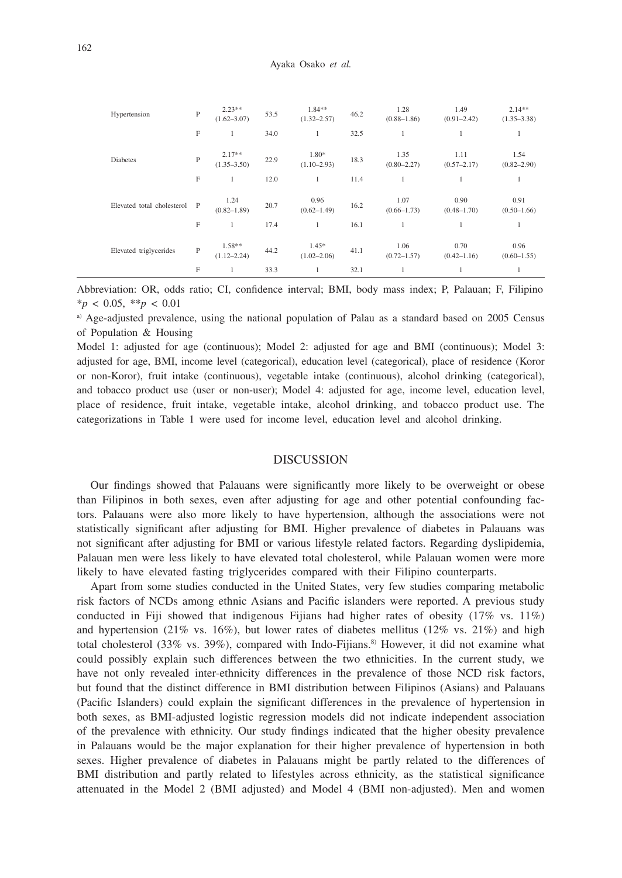| Hypertension               | P | $2.23**$<br>$(1.62 - 3.07)$ | 53.5 | 1.84**<br>$(1.32 - 2.57)$  | 46.2 | 1.28<br>$(0.88 - 1.86)$ | 1.49<br>$(0.91 - 2.42)$ | $2.14**$<br>$(1.35 - 3.38)$ |
|----------------------------|---|-----------------------------|------|----------------------------|------|-------------------------|-------------------------|-----------------------------|
|                            | F | 1                           | 34.0 | 1                          | 32.5 | $\mathbf{1}$            |                         | 1                           |
| <b>Diabetes</b>            | P | $2.17**$<br>$(1.35 - 3.50)$ | 22.9 | 1.80*<br>$(1.10 - 2.93)$   | 18.3 | 1.35<br>$(0.80 - 2.27)$ | 1.11<br>$(0.57 - 2.17)$ | 1.54<br>$(0.82 - 2.90)$     |
|                            | F | 1                           | 12.0 | 1                          | 11.4 | 1                       |                         |                             |
| Elevated total cholesterol | P | 1.24<br>$(0.82 - 1.89)$     | 20.7 | 0.96<br>$(0.62 - 1.49)$    | 16.2 | 1.07<br>$(0.66 - 1.73)$ | 0.90<br>$(0.48 - 1.70)$ | 0.91<br>$(0.50 - 1.66)$     |
|                            | F | 1                           | 17.4 | 1                          | 16.1 | 1                       | 1                       | 1                           |
| Elevated triglycerides     | P | $1.58**$<br>$(1.12 - 2.24)$ | 44.2 | $1.45*$<br>$(1.02 - 2.06)$ | 41.1 | 1.06<br>$(0.72 - 1.57)$ | 0.70<br>$(0.42 - 1.16)$ | 0.96<br>$(0.60 - 1.55)$     |
|                            | F | 1                           | 33.3 | $\mathbf{1}$               | 32.1 | 1                       |                         | 1                           |

Abbreviation: OR, odds ratio; CI, confidence interval; BMI, body mass index; P, Palauan; F, Filipino \**p* < 0.05, \*\**p* < 0.01

a) Age-adjusted prevalence, using the national population of Palau as a standard based on 2005 Census of Population & Housing

Model 1: adjusted for age (continuous); Model 2: adjusted for age and BMI (continuous); Model 3: adjusted for age, BMI, income level (categorical), education level (categorical), place of residence (Koror or non-Koror), fruit intake (continuous), vegetable intake (continuous), alcohol drinking (categorical), and tobacco product use (user or non-user); Model 4: adjusted for age, income level, education level, place of residence, fruit intake, vegetable intake, alcohol drinking, and tobacco product use. The categorizations in Table 1 were used for income level, education level and alcohol drinking.

### DISCUSSION

Our findings showed that Palauans were significantly more likely to be overweight or obese than Filipinos in both sexes, even after adjusting for age and other potential confounding factors. Palauans were also more likely to have hypertension, although the associations were not statistically significant after adjusting for BMI. Higher prevalence of diabetes in Palauans was not significant after adjusting for BMI or various lifestyle related factors. Regarding dyslipidemia, Palauan men were less likely to have elevated total cholesterol, while Palauan women were more likely to have elevated fasting triglycerides compared with their Filipino counterparts.

Apart from some studies conducted in the United States, very few studies comparing metabolic risk factors of NCDs among ethnic Asians and Pacific islanders were reported. A previous study conducted in Fiji showed that indigenous Fijians had higher rates of obesity (17% vs. 11%) and hypertension (21% vs. 16%), but lower rates of diabetes mellitus (12% vs. 21%) and high total cholesterol (33% vs. 39%), compared with Indo-Fijians.<sup>8)</sup> However, it did not examine what could possibly explain such differences between the two ethnicities. In the current study, we have not only revealed inter-ethnicity differences in the prevalence of those NCD risk factors, but found that the distinct difference in BMI distribution between Filipinos (Asians) and Palauans (Pacific Islanders) could explain the significant differences in the prevalence of hypertension in both sexes, as BMI-adjusted logistic regression models did not indicate independent association of the prevalence with ethnicity. Our study findings indicated that the higher obesity prevalence in Palauans would be the major explanation for their higher prevalence of hypertension in both sexes. Higher prevalence of diabetes in Palauans might be partly related to the differences of BMI distribution and partly related to lifestyles across ethnicity, as the statistical significance attenuated in the Model 2 (BMI adjusted) and Model 4 (BMI non-adjusted). Men and women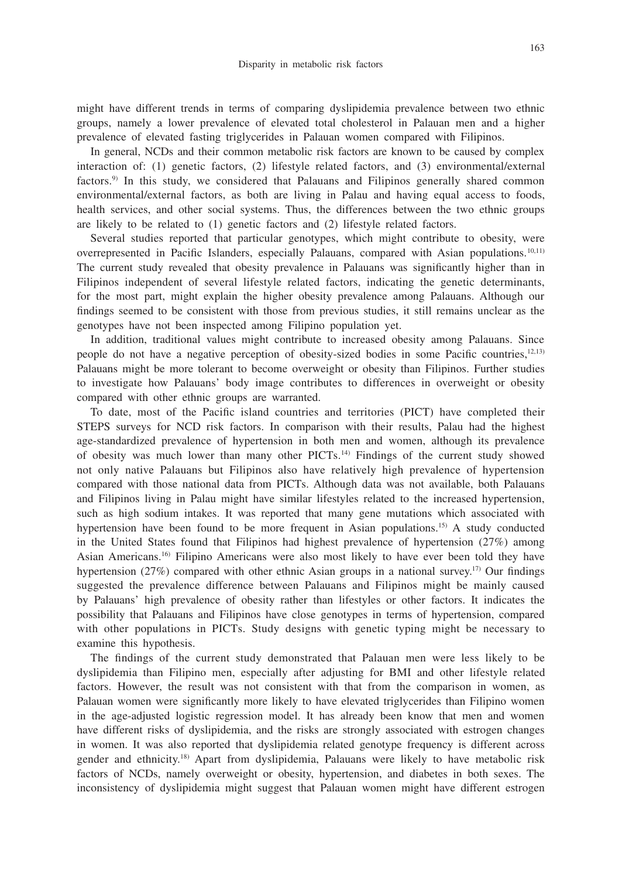might have different trends in terms of comparing dyslipidemia prevalence between two ethnic groups, namely a lower prevalence of elevated total cholesterol in Palauan men and a higher prevalence of elevated fasting triglycerides in Palauan women compared with Filipinos.

In general, NCDs and their common metabolic risk factors are known to be caused by complex interaction of: (1) genetic factors, (2) lifestyle related factors, and (3) environmental/external factors.9) In this study, we considered that Palauans and Filipinos generally shared common environmental/external factors, as both are living in Palau and having equal access to foods, health services, and other social systems. Thus, the differences between the two ethnic groups are likely to be related to (1) genetic factors and (2) lifestyle related factors.

Several studies reported that particular genotypes, which might contribute to obesity, were overrepresented in Pacific Islanders, especially Palauans, compared with Asian populations.10,11) The current study revealed that obesity prevalence in Palauans was significantly higher than in Filipinos independent of several lifestyle related factors, indicating the genetic determinants, for the most part, might explain the higher obesity prevalence among Palauans. Although our findings seemed to be consistent with those from previous studies, it still remains unclear as the genotypes have not been inspected among Filipino population yet.

In addition, traditional values might contribute to increased obesity among Palauans. Since people do not have a negative perception of obesity-sized bodies in some Pacific countries,12,13) Palauans might be more tolerant to become overweight or obesity than Filipinos. Further studies to investigate how Palauans' body image contributes to differences in overweight or obesity compared with other ethnic groups are warranted.

To date, most of the Pacific island countries and territories (PICT) have completed their STEPS surveys for NCD risk factors. In comparison with their results, Palau had the highest age-standardized prevalence of hypertension in both men and women, although its prevalence of obesity was much lower than many other PICTs.14) Findings of the current study showed not only native Palauans but Filipinos also have relatively high prevalence of hypertension compared with those national data from PICTs. Although data was not available, both Palauans and Filipinos living in Palau might have similar lifestyles related to the increased hypertension, such as high sodium intakes. It was reported that many gene mutations which associated with hypertension have been found to be more frequent in Asian populations.15) A study conducted in the United States found that Filipinos had highest prevalence of hypertension (27%) among Asian Americans.16) Filipino Americans were also most likely to have ever been told they have hypertension (27%) compared with other ethnic Asian groups in a national survey.<sup>17)</sup> Our findings suggested the prevalence difference between Palauans and Filipinos might be mainly caused by Palauans' high prevalence of obesity rather than lifestyles or other factors. It indicates the possibility that Palauans and Filipinos have close genotypes in terms of hypertension, compared with other populations in PICTs. Study designs with genetic typing might be necessary to examine this hypothesis.

The findings of the current study demonstrated that Palauan men were less likely to be dyslipidemia than Filipino men, especially after adjusting for BMI and other lifestyle related factors. However, the result was not consistent with that from the comparison in women, as Palauan women were significantly more likely to have elevated triglycerides than Filipino women in the age-adjusted logistic regression model. It has already been know that men and women have different risks of dyslipidemia, and the risks are strongly associated with estrogen changes in women. It was also reported that dyslipidemia related genotype frequency is different across gender and ethnicity.18) Apart from dyslipidemia, Palauans were likely to have metabolic risk factors of NCDs, namely overweight or obesity, hypertension, and diabetes in both sexes. The inconsistency of dyslipidemia might suggest that Palauan women might have different estrogen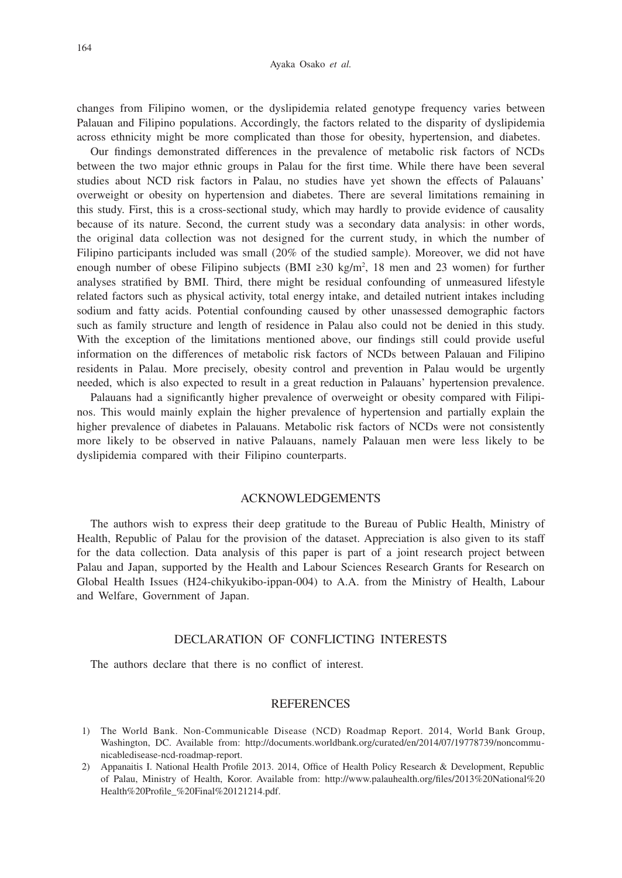#### Ayaka Osako *et al.*

changes from Filipino women, or the dyslipidemia related genotype frequency varies between Palauan and Filipino populations. Accordingly, the factors related to the disparity of dyslipidemia across ethnicity might be more complicated than those for obesity, hypertension, and diabetes.

Our findings demonstrated differences in the prevalence of metabolic risk factors of NCDs between the two major ethnic groups in Palau for the first time. While there have been several studies about NCD risk factors in Palau, no studies have yet shown the effects of Palauans' overweight or obesity on hypertension and diabetes. There are several limitations remaining in this study. First, this is a cross-sectional study, which may hardly to provide evidence of causality because of its nature. Second, the current study was a secondary data analysis: in other words, the original data collection was not designed for the current study, in which the number of Filipino participants included was small (20% of the studied sample). Moreover, we did not have enough number of obese Filipino subjects (BMI ≥30 kg/m<sup>2</sup>, 18 men and 23 women) for further analyses stratified by BMI. Third, there might be residual confounding of unmeasured lifestyle related factors such as physical activity, total energy intake, and detailed nutrient intakes including sodium and fatty acids. Potential confounding caused by other unassessed demographic factors such as family structure and length of residence in Palau also could not be denied in this study. With the exception of the limitations mentioned above, our findings still could provide useful information on the differences of metabolic risk factors of NCDs between Palauan and Filipino residents in Palau. More precisely, obesity control and prevention in Palau would be urgently needed, which is also expected to result in a great reduction in Palauans' hypertension prevalence.

Palauans had a significantly higher prevalence of overweight or obesity compared with Filipinos. This would mainly explain the higher prevalence of hypertension and partially explain the higher prevalence of diabetes in Palauans. Metabolic risk factors of NCDs were not consistently more likely to be observed in native Palauans, namely Palauan men were less likely to be dyslipidemia compared with their Filipino counterparts.

## ACKNOWLEDGEMENTS

The authors wish to express their deep gratitude to the Bureau of Public Health, Ministry of Health, Republic of Palau for the provision of the dataset. Appreciation is also given to its staff for the data collection. Data analysis of this paper is part of a joint research project between Palau and Japan, supported by the Health and Labour Sciences Research Grants for Research on Global Health Issues (H24-chikyukibo-ippan-004) to A.A. from the Ministry of Health, Labour and Welfare, Government of Japan.

## DECLARATION OF CONFLICTING INTERESTS

The authors declare that there is no conflict of interest.

#### REFERENCES

- 1) The World Bank. Non-Communicable Disease (NCD) Roadmap Report. 2014, World Bank Group, Washington, DC. Available from: http://documents.worldbank.org/curated/en/2014/07/19778739/noncommunicabledisease-ncd-roadmap-report.
- 2) Appanaitis I. National Health Profile 2013. 2014, Office of Health Policy Research & Development, Republic of Palau, Ministry of Health, Koror. Available from: http://www.palauhealth.org/files/2013%20National%20 Health%20Profile\_%20Final%20121214.pdf.